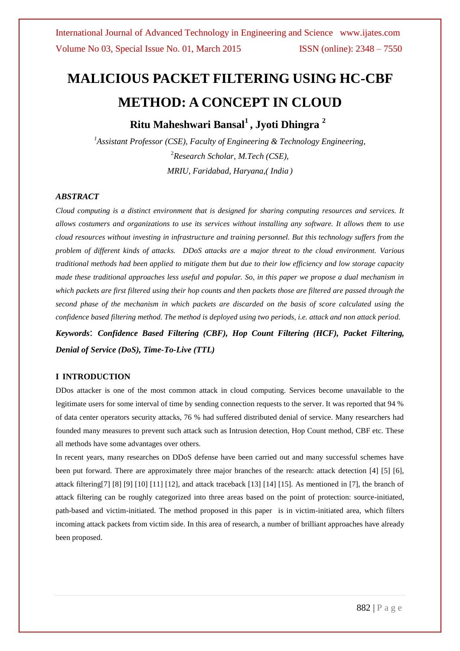# **MALICIOUS PACKET FILTERING USING HC-CBF METHOD: A CONCEPT IN CLOUD**

**Ritu Maheshwari Bansal<sup>1</sup> , Jyoti Dhingra <sup>2</sup>**

*<sup>1</sup>Assistant Professor (CSE), Faculty of Engineering & Technology Engineering,* <sup>2</sup>*Research Scholar, M.Tech (CSE), MRIU, Faridabad, Haryana,( India )*

### *ABSTRACT*

*Cloud computing is a distinct environment that is designed for sharing computing resources and services. It allows costumers and organizations to use its services without installing any software. It allows them to use cloud resources without investing in infrastructure and training personnel. But this technology suffers from the problem of different kinds of attacks. DDoS attacks are a major threat to the cloud environment. Various traditional methods had been applied to mitigate them but due to their low efficiency and low storage capacity made these traditional approaches less useful and popular. So, in this paper we propose a dual mechanism in which packets are first filtered using their hop counts and then packets those are filtered are passed through the second phase of the mechanism in which packets are discarded on the basis of score calculated using the confidence based filtering method. The method is deployed using two periods, i.e. attack and non attack period.*

*Keywords*: *Confidence Based Filtering (CBF), Hop Count Filtering (HCF), Packet Filtering, Denial of Service (DoS), Time-To-Live (TTL)*

### **I INTRODUCTION**

DDos attacker is one of the most common attack in cloud computing. Services become unavailable to the legitimate users for some interval of time by sending connection requests to the server. It was reported that 94 % of data center operators security attacks, 76 % had suffered distributed denial of service. Many researchers had founded many measures to prevent such attack such as Intrusion detection, Hop Count method, CBF etc. These all methods have some advantages over others.

In recent years, many researches on DDoS defense have been carried out and many successful schemes have been put forward. There are approximately three major branches of the research: attack detection [4] [5] [6], attack filtering[7] [8] [9] [10] [11] [12], and attack traceback [13] [14] [15]. As mentioned in [7], the branch of attack filtering can be roughly categorized into three areas based on the point of protection: source-initiated, path-based and victim-initiated. The method proposed in this paper is in victim-initiated area, which filters incoming attack packets from victim side. In this area of research, a number of brilliant approaches have already been proposed.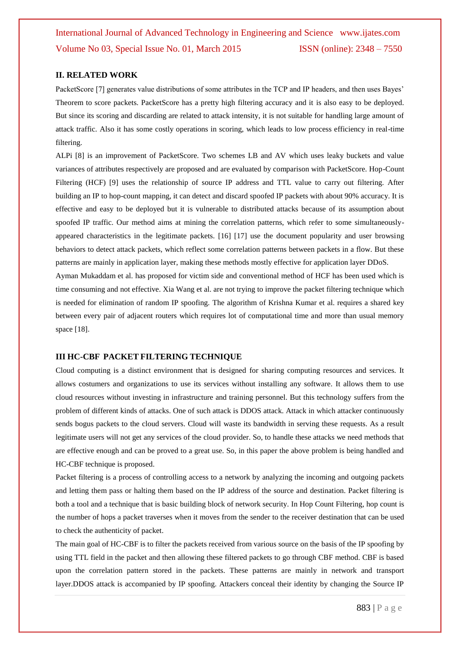### **II. RELATED WORK**

PacketScore [7] generates value distributions of some attributes in the TCP and IP headers, and then uses Bayes' Theorem to score packets. PacketScore has a pretty high filtering accuracy and it is also easy to be deployed. But since its scoring and discarding are related to attack intensity, it is not suitable for handling large amount of attack traffic. Also it has some costly operations in scoring, which leads to low process efficiency in real-time filtering.

ALPi [8] is an improvement of PacketScore. Two schemes LB and AV which uses leaky buckets and value variances of attributes respectively are proposed and are evaluated by comparison with PacketScore. Hop-Count Filtering (HCF) [9] uses the relationship of source IP address and TTL value to carry out filtering. After building an IP to hop-count mapping, it can detect and discard spoofed IP packets with about 90% accuracy. It is effective and easy to be deployed but it is vulnerable to distributed attacks because of its assumption about spoofed IP traffic. Our method aims at mining the correlation patterns, which refer to some simultaneouslyappeared characteristics in the legitimate packets. [16] [17] use the document popularity and user browsing behaviors to detect attack packets, which reflect some correlation patterns between packets in a flow. But these patterns are mainly in application layer, making these methods mostly effective for application layer DDoS.

Ayman Mukaddam et al. has proposed for victim side and conventional method of HCF has been used which is time consuming and not effective. Xia Wang et al. are not trying to improve the packet filtering technique which is needed for elimination of random IP spoofing. The algorithm of Krishna Kumar et al. requires a shared key between every pair of adjacent routers which requires lot of computational time and more than usual memory space [18].

#### **III HC-CBF PACKET FILTERING TECHNIQUE**

Cloud computing is a distinct environment that is designed for sharing computing resources and services. It allows costumers and organizations to use its services without installing any software. It allows them to use cloud resources without investing in infrastructure and training personnel. But this technology suffers from the problem of different kinds of attacks. One of such attack is DDOS attack. Attack in which attacker continuously sends bogus packets to the cloud servers. Cloud will waste its bandwidth in serving these requests. As a result legitimate users will not get any services of the cloud provider. So, to handle these attacks we need methods that are effective enough and can be proved to a great use. So, in this paper the above problem is being handled and HC-CBF technique is proposed.

Packet filtering is a process of controlling access to a network by analyzing the incoming and outgoing packets and letting them pass or halting them based on the IP address of the source and destination. Packet filtering is both a tool and a technique that is basic building block of network security. In Hop Count Filtering, hop count is the number of hops a packet traverses when it moves from the sender to the receiver destination that can be used to check the authenticity of packet.

The main goal of HC-CBF is to filter the packets received from various source on the basis of the IP spoofing by using TTL field in the packet and then allowing these filtered packets to go through CBF method. CBF is based upon the correlation pattern stored in the packets. These patterns are mainly in network and transport layer.DDOS attack is accompanied by IP spoofing. Attackers conceal their identity by changing the Source IP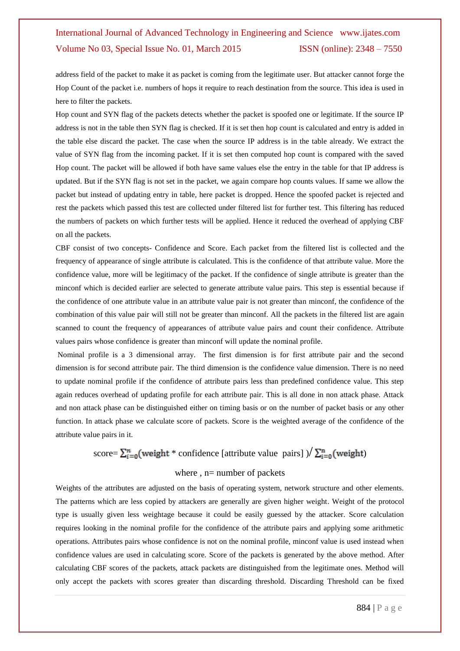address field of the packet to make it as packet is coming from the legitimate user. But attacker cannot forge the Hop Count of the packet i.e. numbers of hops it require to reach destination from the source. This idea is used in here to filter the packets.

Hop count and SYN flag of the packets detects whether the packet is spoofed one or legitimate. If the source IP address is not in the table then SYN flag is checked. If it is set then hop count is calculated and entry is added in the table else discard the packet. The case when the source IP address is in the table already. We extract the value of SYN flag from the incoming packet. If it is set then computed hop count is compared with the saved Hop count. The packet will be allowed if both have same values else the entry in the table for that IP address is updated. But if the SYN flag is not set in the packet, we again compare hop counts values. If same we allow the packet but instead of updating entry in table, here packet is dropped. Hence the spoofed packet is rejected and rest the packets which passed this test are collected under filtered list for further test. This filtering has reduced the numbers of packets on which further tests will be applied. Hence it reduced the overhead of applying CBF on all the packets.

CBF consist of two concepts- Confidence and Score. Each packet from the filtered list is collected and the frequency of appearance of single attribute is calculated. This is the confidence of that attribute value. More the confidence value, more will be legitimacy of the packet. If the confidence of single attribute is greater than the minconf which is decided earlier are selected to generate attribute value pairs. This step is essential because if the confidence of one attribute value in an attribute value pair is not greater than minconf, the confidence of the combination of this value pair will still not be greater than minconf. All the packets in the filtered list are again scanned to count the frequency of appearances of attribute value pairs and count their confidence. Attribute values pairs whose confidence is greater than minconf will update the nominal profile.

Nominal profile is a 3 dimensional array. The first dimension is for first attribute pair and the second dimension is for second attribute pair. The third dimension is the confidence value dimension. There is no need to update nominal profile if the confidence of attribute pairs less than predefined confidence value. This step again reduces overhead of updating profile for each attribute pair. This is all done in non attack phase. Attack and non attack phase can be distinguished either on timing basis or on the number of packet basis or any other function. In attack phase we calculate score of packets. Score is the weighted average of the confidence of the attribute value pairs in it.

## score=  $\sum_{i=0}^{n}$  (weight \* confidence [attribute value pairs]  $\frac{\sum_{i=0}^{n}$  (weight)

### where , n= number of packets

Weights of the attributes are adjusted on the basis of operating system, network structure and other elements. The patterns which are less copied by attackers are generally are given higher weight. Weight of the protocol type is usually given less weightage because it could be easily guessed by the attacker. Score calculation requires looking in the nominal profile for the confidence of the attribute pairs and applying some arithmetic operations. Attributes pairs whose confidence is not on the nominal profile, minconf value is used instead when confidence values are used in calculating score. Score of the packets is generated by the above method. After calculating CBF scores of the packets, attack packets are distinguished from the legitimate ones. Method will only accept the packets with scores greater than discarding threshold. Discarding Threshold can be fixed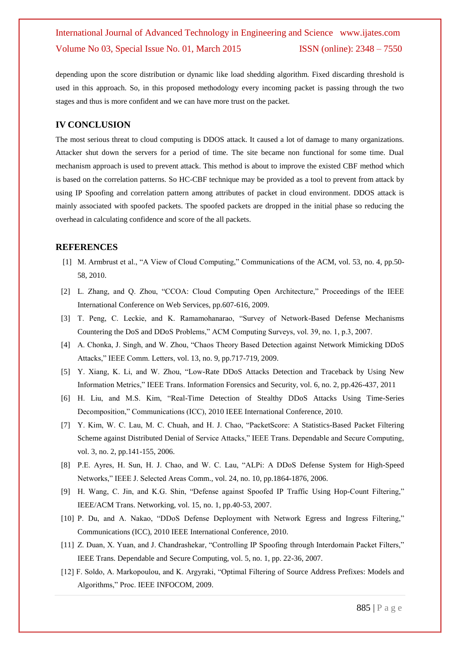depending upon the score distribution or dynamic like load shedding algorithm. Fixed discarding threshold is used in this approach. So, in this proposed methodology every incoming packet is passing through the two stages and thus is more confident and we can have more trust on the packet.

### **IV CONCLUSION**

The most serious threat to cloud computing is DDOS attack. It caused a lot of damage to many organizations. Attacker shut down the servers for a period of time. The site became non functional for some time. Dual mechanism approach is used to prevent attack. This method is about to improve the existed CBF method which is based on the correlation patterns. So HC-CBF technique may be provided as a tool to prevent from attack by using IP Spoofing and correlation pattern among attributes of packet in cloud environment. DDOS attack is mainly associated with spoofed packets. The spoofed packets are dropped in the initial phase so reducing the overhead in calculating confidence and score of the all packets.

### **REFERENCES**

- [1] M. Armbrust et al., "A View of Cloud Computing," Communications of the ACM, vol. 53, no. 4, pp.50- 58, 2010.
- [2] L. Zhang, and Q. Zhou, "CCOA: Cloud Computing Open Architecture," Proceedings of the IEEE International Conference on Web Services, pp.607-616, 2009.
- [3] T. Peng, C. Leckie, and K. Ramamohanarao, "Survey of Network-Based Defense Mechanisms Countering the DoS and DDoS Problems," ACM Computing Surveys, vol. 39, no. 1, p.3, 2007.
- [4] A. Chonka, J. Singh, and W. Zhou, "Chaos Theory Based Detection against Network Mimicking DDoS Attacks," IEEE Comm. Letters, vol. 13, no. 9, pp.717-719, 2009.
- [5] Y. Xiang, K. Li, and W. Zhou, "Low-Rate DDoS Attacks Detection and Traceback by Using New Information Metrics," IEEE Trans. Information Forensics and Security, vol. 6, no. 2, pp.426-437, 2011
- [6] H. Liu, and M.S. Kim, "Real-Time Detection of Stealthy DDoS Attacks Using Time-Series Decomposition," Communications (ICC), 2010 IEEE International Conference, 2010.
- [7] Y. Kim, W. C. Lau, M. C. Chuah, and H. J. Chao, "PacketScore: A Statistics-Based Packet Filtering Scheme against Distributed Denial of Service Attacks," IEEE Trans. Dependable and Secure Computing, vol. 3, no. 2, pp.141-155, 2006.
- [8] P.E. Ayres, H. Sun, H. J. Chao, and W. C. Lau, "ALPi: A DDoS Defense System for High-Speed Networks," IEEE J. Selected Areas Comm., vol. 24, no. 10, pp.1864-1876, 2006.
- [9] H. Wang, C. Jin, and K.G. Shin, "Defense against Spoofed IP Traffic Using Hop-Count Filtering," IEEE/ACM Trans. Networking, vol. 15, no. 1, pp.40-53, 2007.
- [10] P. Du, and A. Nakao, "DDoS Defense Deployment with Network Egress and Ingress Filtering," Communications (ICC), 2010 IEEE International Conference, 2010.
- [11] Z. Duan, X. Yuan, and J. Chandrashekar, "Controlling IP Spoofing through Interdomain Packet Filters," IEEE Trans. Dependable and Secure Computing, vol. 5, no. 1, pp. 22-36, 2007.
- [12] F. Soldo, A. Markopoulou, and K. Argyraki, "Optimal Filtering of Source Address Prefixes: Models and Algorithms," Proc. IEEE INFOCOM, 2009.